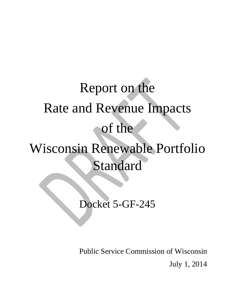# Report on the Rate and Revenue Impacts of the Wisconsin Renewable Portfolio Standard

Docket 5-GF-245

Public Service Commission of Wisconsin July 1, 2014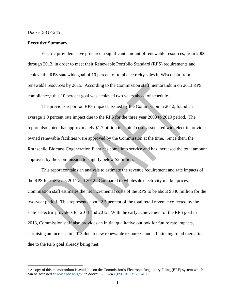l

#### **Executive Summary**

Electric providers have procured a significant amount of renewable resources, from 2006 through 2013, in order to meet their Renewable Portfolio Standard (RPS) requirements and achieve the RPS statewide goal of 10 percent of total electricity sales in Wisconsin from renewable resources by 2015. According to the Commission staff memorandum on 2013 RPS compliance, $<sup>1</sup>$  $<sup>1</sup>$  $<sup>1</sup>$  this 10 percent goal was achieved two years ahead of schedule.</sup>

The previous report on RPS impacts, issued by the Commission in 2012, found an average 1.0 percent rate impact due to the RPS for the three year 2008 to 2010 period. The report also noted that approximately \$1.7 billion in capital costs associated with electric provider owned renewable facilities were approved by the Commission at the time. Since then, the Rothschild Biomass Cogeneration Plant has come into service and has increased the total amount approved by the Commission to slightly below \$2 billion.

This report contains an analysis to estimate the revenue requirement and rate impacts of the RPS for the years 2011 and 2012. Compared to wholesale electricity market prices, Commission staff estimates the net incremental costs of the RPS to be about \$340 million for the two-year period. This represents about 2.5 percent of the total retail revenue collected by the state's electric providers for 2011 and 2012. With the early achievement of the RPS goal in 2013, Commission staff also provides an initial qualitative outlook for future rate impacts, surmising an increase in 2013 due to new renewable resources, and a flattening trend thereafter due to the RPS goal already being met.

<span id="page-1-0"></span> $1$  A copy of this memorandum is available on the Commission's Electronic Regulatory Filing (ERF) system which can be accessed at [www.psc.wi.gov,](http://www.psc.wi.gov/) in docket 5-GF-243 [\(PSC REF#: 206461\)](http://psc.wi.gov/apps35/ERF_view/viewdoc.aspx?docid=%20206461).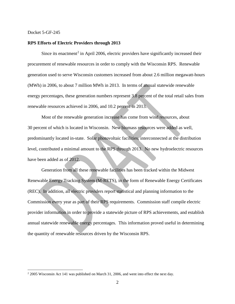$\overline{a}$ 

#### **RPS Efforts of Electric Providers through 2013**

Since its enactment<sup>[2](#page-2-0)</sup> in April 2006, electric providers have significantly increased their procurement of renewable resources in order to comply with the Wisconsin RPS. Renewable generation used to serve Wisconsin customers increased from about 2.6 million megawatt-hours (MWh) in 2006, to about 7 million MWh in 2013. In terms of annual statewide renewable energy percentages, these generation numbers represent 3.8 percent of the total retail sales from renewable resources achieved in 2006, and 10.2 percent in 2013.

Most of the renewable generation increase has come from wind resources, about 30 percent of which is located in Wisconsin. New biomass resources were added as well, predominantly located in-state. Solar photovoltaic facilities, interconnected at the distribution level, contributed a minimal amount to the RPS through 2013. No new hydroelectric resources have been added as of 2012.

Generation from all these renewable facilities has been tracked within the Midwest Renewable Energy Tracking System (M-RETS), in the form of Renewable Energy Certificates (REC). In addition, all electric providers report statistical and planning information to the Commission every year as part of their RPS requirements. Commission staff compile electric provider information in order to provide a statewide picture of RPS achievements, and establish annual statewide renewable energy percentages. This information proved useful in determining the quantity of renewable resources driven by the Wisconsin RPS.

<span id="page-2-0"></span><sup>2</sup> 2005 Wisconsin Act 141 was published on March 31, 2006, and went into effect the next day.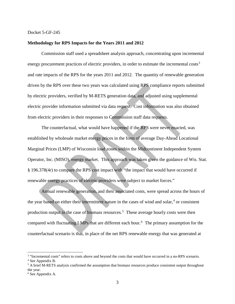#### **Methodology for RPS Impacts for the Years 2011 and 2012**

Commission staff used a spreadsheet analysis approach, concentrating upon incremental energy procurement practices of electric providers, in order to estimate the incremental costs<sup>[3](#page-3-0)</sup> and rate impacts of the RPS for the years 2011 and 2012. The quantity of renewable generation driven by the RPS over these two years was calculated using RPS compliance reports submitted by electric providers, verified by M-RETS generation data, and adjusted using supplemental electric provider information submitted via data request. Cost information was also obtained from electric providers in their responses to Commission staff data requests.

The counterfactual, what would have happened if the RPS were never enacted, was established by wholesale market energy prices in the form of average Day-Ahead Locational Marginal Prices (LMP) of Wisconsin load zones within the Midcontinent Independent System Operator, Inc. (MISO), energy market. This approach was taken given the guidance of Wis. Stat. § 196.378(4r) to compare the RPS cost impact with "the impact that would have occurred if renewable energy practices of electric providers were subject to market forces."

Annual renewable generation, and their associated costs, were spread across the hours of the year based on either their intermittent nature in the cases of wind and solar, $4$  or consistent production output in the case of biomass resources.<sup>[5](#page-3-2)</sup> These average hourly costs were then compared with fluctuating LMPs that are different each hour.<sup>[6](#page-3-3)</sup> The primary assumption for the counterfactual scenario is that, in place of the net RPS renewable energy that was generated at

l

<span id="page-3-0"></span><sup>&</sup>lt;sup>3</sup> "Incremental costs" refers to costs above and beyond the costs that would have occurred in a no-RPS scenario.

<span id="page-3-1"></span><sup>4</sup> See Appendix B.

<span id="page-3-2"></span><sup>&</sup>lt;sup>5</sup> A brief M-RETS analysis confirmed the assumption that biomass resources produce consistent output throughout the year.

<span id="page-3-3"></span><sup>6</sup> See Appendix A.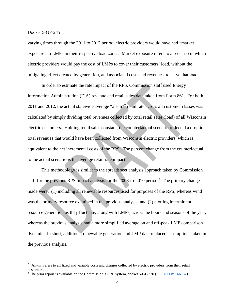$\overline{\phantom{a}}$ 

varying times through the 2011 to 2012 period, electric providers would have had "market exposure" to LMPs in their respective load zones. Market exposure refers to a scenario in which electric providers would pay the cost of LMPs to cover their customers' load, without the mitigating effect created by generation, and associated costs and revenues, to serve that load.

In order to estimate the rate impact of the RPS, Commission staff used Energy Information Administration (EIA) revenue and retail sales data taken from Form 861. For both 2011 and 2012, the actual statewide average "all-in"<sup>[7](#page-4-0)</sup> retail rate across all customer classes was calculated by simply dividing total revenues collected by total retail sales (load) of all Wisconsin electric customers. Holding retail sales constant, the counterfactual scenario reflected a drop in total revenues that would have been collected from Wisconsin electric providers, which is equivalent to the net incremental costs of the RPS. The percent change from the counterfactual to the actual scenario is the average retail rate impact.

This methodology is similar to the spreadsheet analysis approach taken by Commission staff for the previous RPS impact analysis for the  $2008$  $2008$ -to-2010 period.<sup>8</sup> The primary changes made were: (1) including all renewable resources used for purposes of the RPS, whereas wind was the primary resource examined in the previous analysis; and (2) plotting intermittent resource generation as they fluctuate, along with LMPs, across the hours and seasons of the year, whereas the previous analysis had a more simplified average on and off-peak LMP comparison dynamic. In short, additional renewable generation and LMP data replaced assumptions taken in the previous analysis.

<span id="page-4-0"></span><sup>&</sup>lt;sup>7</sup> "All-in" refers to all fixed and variable costs and charges collected by electric providers from their retail customers.

<span id="page-4-1"></span><sup>&</sup>lt;sup>8</sup> The prior report is available on the Commission's ERF system, docket 5-GF-220 [\(PSC REF#: 166782\)](http://psc.wi.gov/apps35/ERF_view/viewdoc.aspx?docid=%20166782).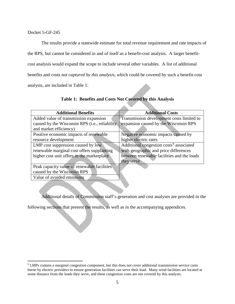$\overline{\phantom{a}}$ 

The results provide a statewide estimate for total revenue requirement and rate impacts of the RPS, but cannot be considered in and of itself as a benefit-cost analysis. A larger benefitcost analysis would expand the scope to include several other variables. A list of additional benefits and costs *not captured by this analysis*, which could be covered by such a benefit-cost analysis, are included in Table 1:

| <b>Additional Benefits</b>                              | <b>Additional Costs</b>                             |
|---------------------------------------------------------|-----------------------------------------------------|
| Added value of transmission expansion                   | Transmission development costs limited to           |
| caused by the Wisconsin RPS ( <i>i.e.</i> , reliability | expansion caused by the Wisconsin RPS               |
| and market efficiency)                                  |                                                     |
| Positive economic impacts of renewable                  | Negative economic impacts caused by                 |
| resource development                                    | higher electric rates                               |
| LMP cost suppression caused by low                      | Additional congestion costs <sup>9</sup> associated |
| renewable marginal cost offers supplanting              | with geographic and price differences               |
| higher cost unit offers in the marketplace              | between renewable facilities and the loads          |
|                                                         | they serve                                          |
| Peak capacity value of renewable facilities             |                                                     |
| caused by the Wisconsin RPS                             |                                                     |
| Value of avoided emissions                              |                                                     |

#### **Table 1: Benefits and Costs Not Covered by this Analysis**

Additional details of Commission staff's generation and cost analyses are provided in the

following sections that present the results, as well as in the accompanying appendices.

<span id="page-5-0"></span><sup>9</sup> LMPs contain a marginal congestion component, but this does not cover additional transmission service costs borne by electric providers to ensure generation facilities can serve their load. Many wind facilities are located at some distance from the loads they serve, and these congestion costs are not covered by this analysis.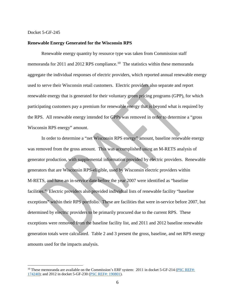l

#### **Renewable Energy Generated for the Wisconsin RPS**

Renewable energy quantity by resource type was taken from Commission staff memoranda for 2011 and 2012 RPS compliance.<sup>[10](#page-6-0)</sup> The statistics within these memoranda aggregate the individual responses of electric providers, which reported annual renewable energy used to serve their Wisconsin retail customers. Electric providers also separate and report renewable energy that is generated for their voluntary green pricing programs (GPP), for which participating customers pay a premium for renewable energy that is beyond what is required by the RPS. All renewable energy intended for GPPs was removed in order to determine a "gross Wisconsin RPS energy" amount.

In order to determine a "net Wisconsin RPS energy" amount, baseline renewable energy was removed from the gross amount. This was accomplished using an M-RETS analysis of generator production, with supplemental information provided by electric providers. Renewable generators that are Wisconsin RPS-eligible, used by Wisconsin electric providers within M-RETS, and have an in-service date before the year 2007 were identified as "baseline facilities." Electric providers also provided individual lists of renewable facility "baseline exceptions" within their RPS portfolio. These are facilities that were in-service before 2007, but determined by electric providers to be primarily procured due to the current RPS. These exceptions were removed from the baseline facility list, and 2011 and 2012 baseline renewable generation totals were calculated. Table 2 and 3 present the gross, baseline, and net RPS energy amounts used for the impacts analysis.

<span id="page-6-0"></span> $10$  These memoranda are available on the Commission's ERF system: 2011 in docket 5-GF-214 (PSC REF#: [174240\)](http://psc.wi.gov/apps35/ERF_view/viewdoc.aspx?docid=%20174240); and 2012 in docket 5-GF-230 [\(PSC REF#: 190801\)](http://psc.wi.gov/apps35/ERF_view/viewdoc.aspx?docid=%20190801).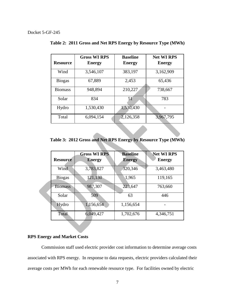|                 | <b>Gross WI RPS</b> | <b>Baseline</b> | <b>Net WI RPS</b> |
|-----------------|---------------------|-----------------|-------------------|
| <b>Resource</b> | <b>Energy</b>       | <b>Energy</b>   | <b>Energy</b>     |
| Wind            | 3,546,107           | 383,197         | 3,162,909         |
| <b>Biogas</b>   | 67,889              | 2,453           | 65,436            |
| <b>Biomass</b>  | 948,894             | 210,227         | 738,667           |
| Solar           | 834                 | 51              | 783               |
| Hydro           | 1,530,430           | 1,530,430       |                   |
| Total           | 6,094,154           | 2,126,358       | 3,967,795         |

**Table 2: 2011 Gross and Net RPS Energy by Resource Type (MWh)**

**Table 3: 2012 Gross and Net RPS Energy by Resource Type (MWh)**

| <b>Resource</b> | <b>Gross WI RPS</b><br><b>Energy</b> | <b>Baseline</b><br><b>Energy</b> | <b>Net WI RPS</b><br><b>Energy</b> |
|-----------------|--------------------------------------|----------------------------------|------------------------------------|
| Wind            | 3,783,827                            | 320,346                          | 3,463,480                          |
| <b>Biogas</b>   | 121,130                              | 1,965                            | 119,165                            |
| <b>Biomass</b>  | 987,307                              | 223,647                          | 763,660                            |
| Solar           | 509                                  | 63                               | 446                                |
| Hydro           | 1,156,654                            | 1,156,654                        |                                    |
| Total           | 6,049,427                            | 1,702,676                        | 4,346,751                          |

#### **RPS Energy and Market Costs**

Commission staff used electric provider cost information to determine average costs associated with RPS energy. In response to data requests, electric providers calculated their average costs per MWh for each renewable resource type. For facilities owned by electric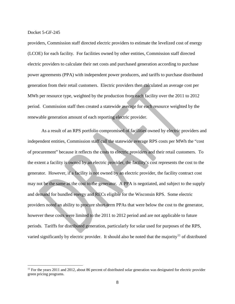l

providers, Commission staff directed electric providers to estimate the levelized cost of energy (LCOE) for each facility. For facilities owned by other entities, Commission staff directed electric providers to calculate their net costs and purchased generation according to purchase power agreements (PPA) with independent power producers, and tariffs to purchase distributed generation from their retail customers. Electric providers then calculated an average cost per MWh per resource type, weighted by the production from each facility over the 2011 to 2012 period. Commission staff then created a statewide average for each resource weighted by the renewable generation amount of each reporting electric provider.

As a result of an RPS portfolio compromised of facilities owned by electric providers and independent entities, Commission staff call the statewide average RPS costs per MWh the "cost of procurement" because it reflects the costs to electric providers and their retail customers. To the extent a facility is owned by an electric provider, the facility's cost represents the cost to the generator. However, if a facility is not owned by an electric provider, the facility contract cost may not be the same as the cost to the generator. A PPA is negotiated, and subject to the supply and demand for bundled energy and RECs eligible for the Wisconsin RPS. Some electric providers noted an ability to procure short-term PPAs that were below the cost to the generator, however these costs were limited to the 2011 to 2012 period and are not applicable to future periods. Tariffs for distributed generation, particularly for solar used for purposes of the RPS, varied significantly by electric provider. It should also be noted that the majority<sup>[11](#page-8-0)</sup> of distributed

<span id="page-8-0"></span> $11$  For the years 2011 and 2012, about 86 percent of distributed solar generation was designated for electric provider green pricing programs.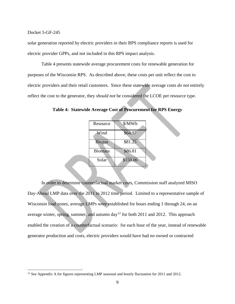$\overline{a}$ 

solar generation reported by electric providers in their RPS compliance reports is used for electric provider GPPs, and not included in this RPS impact analysis.

Table 4 presents statewide average procurement costs for renewable generation for purposes of the Wisconsin RPS. As described above, these costs per unit reflect the cost to electric providers and their retail customers. Since these statewide average costs *do not* entirely reflect the cost to the generator, they *should not* be considered the LCOE per resource type.

| Resource       | \$/MWh   |
|----------------|----------|
| Wind           | \$64.97  |
| <b>Biogas</b>  | \$81.25  |
| <b>Biomass</b> | \$86.81  |
| Solar          | \$150.06 |
|                |          |

**Table 4: Statewide Average Cost of Procurement for RPS Energy**

In order to determine counterfactual market costs, Commission staff analyzed MISO Day-Ahead LMP data over the 2011 to 2012 time period. Limited to a representative sample of Wisconsin load zones, average LMPs were established for hours ending 1 through 24, on an average winter, spring, summer, and autumn day<sup>[12](#page-9-0)</sup> for both 2011 and 2012. This approach enabled the creation of a counterfactual scenario: for each hour of the year, instead of renewable generator production and costs, electric providers would have had no owned or contracted

<span id="page-9-0"></span><sup>&</sup>lt;sup>12</sup> See Appendix A for figures representing LMP seasonal and hourly fluctuation for 2011 and 2012.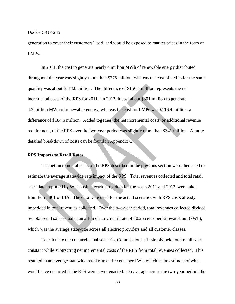generation to cover their customers' load, and would be exposed to market prices in the form of LMPs.

In 2011, the cost to generate nearly 4 million MWh of renewable energy distributed throughout the year was slightly more than \$275 million, whereas the cost of LMPs for the same quantity was about \$118.6 million. The difference of \$156.4 million represents the net incremental costs of the RPS for 2011. In 2012, it cost about \$301 million to generate 4.3 million MWh of renewable energy, whereas the cost for LMPs was \$116.4 million; a difference of \$184.6 million. Added together, the net incremental costs, or additional revenue requirement, of the RPS over the two-year period was slightly more than \$341 million. A more detailed breakdown of costs can be found in Appendix C.

#### **RPS Impacts to Retail Rates**

The net incremental costs of the RPS described in the previous section were then used to estimate the average statewide rate impact of the RPS. Total revenues collected and total retail sales data, reported by Wisconsin electric providers for the years 2011 and 2012, were taken from Form 861 of EIA. The data were used for the actual scenario, with RPS costs already imbedded in total revenues collected. Over the two-year period, total revenues collected divided by total retail sales equaled an all-in electric retail rate of 10.25 cents per kilowatt-hour (kWh), which was the average statewide across all electric providers and all customer classes.

To calculate the counterfactual scenario, Commission staff simply held total retail sales constant while subtracting net incremental costs of the RPS from total revenues collected. This resulted in an average statewide retail rate of 10 cents per kWh, which is the estimate of what would have occurred if the RPS were never enacted. On average across the two-year period, the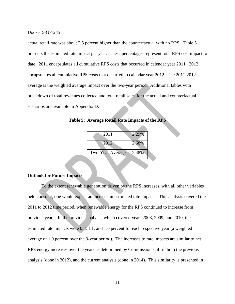actual retail rate was about 2.5 percent higher than the counterfactual with no RPS. Table 5 presents the estimated rate impact per year. These percentages represent total RPS cost impact to date. 2011 encapsulates all cumulative RPS costs that occurred in calendar year 2011. 2012 encapsulates all cumulative RPS costs that occurred in calendar year 2012. The 2011-2012 average is the weighted average impact over the two-year period. Additional tables with breakdown of total revenues collected and total retail sales for the actual and counterfactual scenarios are available in Appendix D.

| 2011                    | 2.29% |  |
|-------------------------|-------|--|
| 2012                    | 2.68% |  |
|                         |       |  |
| <b>Two-Year Average</b> | 2.48% |  |
|                         |       |  |

**Table 5: Average Retail Rate Impacts of the RPS**

#### **Outlook for Future Impacts**

To the extent renewable generation driven by the RPS increases, with all other variables held constant, one would expect an increase in estimated rate impacts. This analysis covered the 2011 to 2012 time period, when renewable energy for the RPS continued to increase from previous years. In the previous analysis, which covered years 2008, 2009, and 2010, the estimated rate impacts were 0.3, 1.1, and 1.6 percent for each respective year (a weighted average of 1.0 percent over the 3-year period). The increases to rate impacts are similar to net RPS energy increases over the years as determined by Commission staff in both the previous analysis (done in 2012), and the current analysis (done in 2014). This similarity is presented in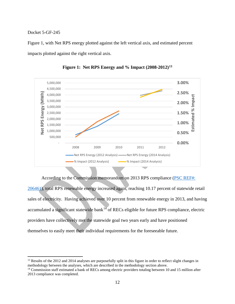$\overline{a}$ 

Figure 1, with Net RPS energy plotted against the left vertical axis, and estimated percent impacts plotted against the right vertical axis.



**Figure 1: Net RPS Energy and % Impact (2008-2012)[13](#page-12-0)**

According to the Commission memorandum on 2013 RPS compliance [\(PSC REF#:](http://psc.wi.gov/apps35/ERF_view/viewdoc.aspx?docid=%20206461) 

[206461\)](http://psc.wi.gov/apps35/ERF_view/viewdoc.aspx?docid=%20206461), total RPS renewable energy increased again, reaching 10.17 percent of statewide retail sales of electricity. Having achieved over 10 percent from renewable energy in 2013, and having accumulated a significant statewide bank $14$  of RECs eligible for future RPS compliance, electric providers have collectively met the statewide goal two years early and have positioned themselves to easily meet their individual requirements for the foreseeable future.

<span id="page-12-0"></span><sup>&</sup>lt;sup>13</sup> Results of the 2012 and 2014 analyses are purposefully split in this figure in order to reflect slight changes in methodology between the analyses, which are described in the methodology section above.

<span id="page-12-1"></span><sup>&</sup>lt;sup>14</sup> Commission staff estimated a bank of RECs among electric providers totaling between 10 and 15 million after 2013 compliance was completed.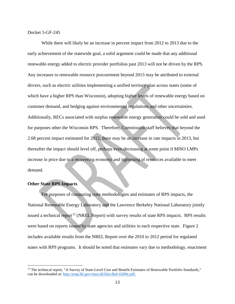While there will likely be an increase in percent impact from 2012 to 2013 due to the early achievement of the statewide goal, a solid argument could be made that any additional renewable energy added to electric provider portfolios past 2013 will not be driven by the RPS. Any increases to renewable resource procurement beyond 2013 may be attributed to external drivers, such as electric utilities implementing a unified territory plan across states (some of which have a higher RPS than Wisconsin), adopting higher levels of renewable energy based on customer demand, and hedging against environmental regulations and other uncertainties. Additionally, RECs associated with surplus renewable energy generation could be sold and used for purposes other the Wisconsin RPS. Therefore, Commission staff believes that beyond the 2.68 percent impact estimated for 2012, there may be an increase in rate impacts in 2013, but thereafter the impact should level off, perhaps even decreasing at some point if MISO LMPs increase in price due to a recovering economy and tightening of resources available to meet demand.

#### **Other State RPS Impacts**

l

For purposes of comparing state methodologies and estimates of RPS impacts, the National Renewable Energy Laboratory and the Lawrence Berkeley National Laboratory jointly issued a technical report<sup>[15](#page-13-0)</sup> (NREL Report) with survey results of state RPS impacts. RPS results were based on reports issued by state agencies and utilities in each respective state. Figure 2 includes available results from the NREL Report over the 2010 to 2012 period for regulated states with RPS programs. It should be noted that estimates vary due to methodology, enactment

<span id="page-13-0"></span><sup>&</sup>lt;sup>15</sup> The technical report, "A Survey of State-Level Cost and Benefit Estimates of Renewable Portfolio Standards," can be downloaded at: [http://emp.lbl.gov/sites/all/files/lbnl-6589e.pdf.](http://emp.lbl.gov/sites/all/files/lbnl-6589e.pdf)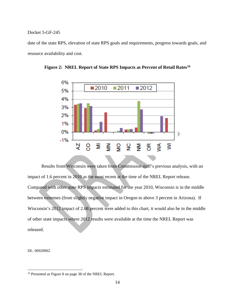date of the state RPS, elevation of state RPS goals and requirements, progress towards goals, and resource availability and cost.



**Figure 2: NREL Report of State RPS Impacts as Percent of Retail Rates[16](#page-14-0)**

Results from Wisconsin were taken from Commission staff's previous analysis, with an impact of 1.6 percent in 2010 as the most recent at the time of the NREL Report release. Compared with other state RPS impacts estimated for the year 2010, Wisconsin is in the middle between extremes (from slightly negative impact in Oregon to above 3 percent in Arizona). If Wisconsin's 2012 impact of 2.68 percent were added to this chart, it would also be in the middle of other state impacts where 2012 results were available at the time the NREL Report was released.

DL: 00928962

 $\overline{a}$ 

<span id="page-14-0"></span><sup>16</sup> Presented as Figure 8 on page 38 of the NREL Report.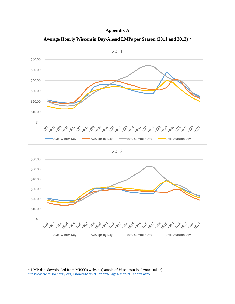



**Average Hourly Wisconsin Day-Ahead LMPs per Season (2011 and 2012)[17](#page-15-0)**

l

<span id="page-15-0"></span><sup>&</sup>lt;sup>17</sup> LMP data downloaded from MISO's website (sample of Wisconsin load zones taken): [https://www.misoenergy.org/Library/MarketReports/Pages/MarketReports.aspx.](https://www.misoenergy.org/Library/MarketReports/Pages/MarketReports.aspx)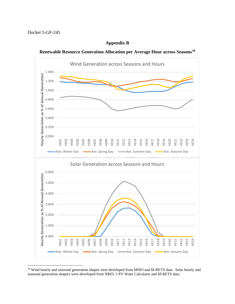l

#### **Appendix B**





<span id="page-16-0"></span><sup>&</sup>lt;sup>18</sup> Wind hourly and seasonal generation shapes were developed from MISO and M-RETS data. Solar hourly and seasonal generation shapers were developed from NREL's PV Watts Calculator and M-RETS data.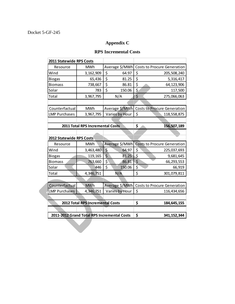## **Appendix C**

## **RPS Incremental Costs**

| <b>2011 Statewide RPS Costs</b>             |                                  |                      |                                    |
|---------------------------------------------|----------------------------------|----------------------|------------------------------------|
| Resource                                    | <b>MWh</b>                       | Average \$/MWh       | <b>Costs to Procure Generation</b> |
| Wind                                        | 3,162,909                        | \$<br>64.97          | \$<br>205,508,240                  |
| <b>Biogas</b>                               | 65,436                           | \$<br>81.25          | \$<br>5,316,417                    |
| <b>Biomass</b>                              | 738,667                          | \$<br>86.81          | \$<br>64,123,906                   |
| Solar                                       | 783                              | \$<br>150.06         | \$<br>117,500                      |
| Total                                       | 3,967,795                        | N/A                  | \$<br>275,066,063                  |
|                                             |                                  |                      |                                    |
| Counterfactual                              | <b>MWh</b>                       | Average \$/MWh       | <b>Costs to Procure Generation</b> |
| <b>LMP Purchases</b>                        | 3,967,795                        | Varies by Hour       | \$<br>118,558,875                  |
|                                             |                                  |                      |                                    |
|                                             | 2011 Total RPS Incremental Costs |                      | \$<br>156,507,189                  |
|                                             |                                  |                      |                                    |
| <b>2012 Statewide RPS Costs</b>             |                                  |                      |                                    |
| Resource                                    | MWh                              | Average \$/MWh       | <b>Costs to Procure Generation</b> |
| Wind                                        | 3,463,480                        | $\varsigma$<br>64.97 | \$<br>225,037,693                  |
| <b>Biogas</b>                               | 119,165                          | \$<br>81.25          | \$<br>9,681,645                    |
| <b>Biomass</b>                              | 763,660                          | $\varsigma$<br>86.81 | $\overline{\xi}$<br>66,293,553     |
| Solar                                       | 446                              | \$<br>150.06         | \$<br>66,919                       |
| Total                                       | 4,346,751                        | N/A                  | \$<br>301,079,811                  |
|                                             |                                  |                      |                                    |
| Counterfactual                              | <b>MWh</b>                       | Average \$/MWh       | <b>Costs to Procure Generation</b> |
| <b>LMP Purchases</b>                        | 4,346,751                        | Varies by Hour       | \$<br>116,434,656                  |
|                                             |                                  |                      |                                    |
| 2012 Total RPS Incremental Costs            |                                  |                      | \$<br>184,645,155                  |
|                                             |                                  |                      |                                    |
| 2011-2012 Grand Total RPS Incremental Costs |                                  |                      | \$<br>341, 152, 344                |